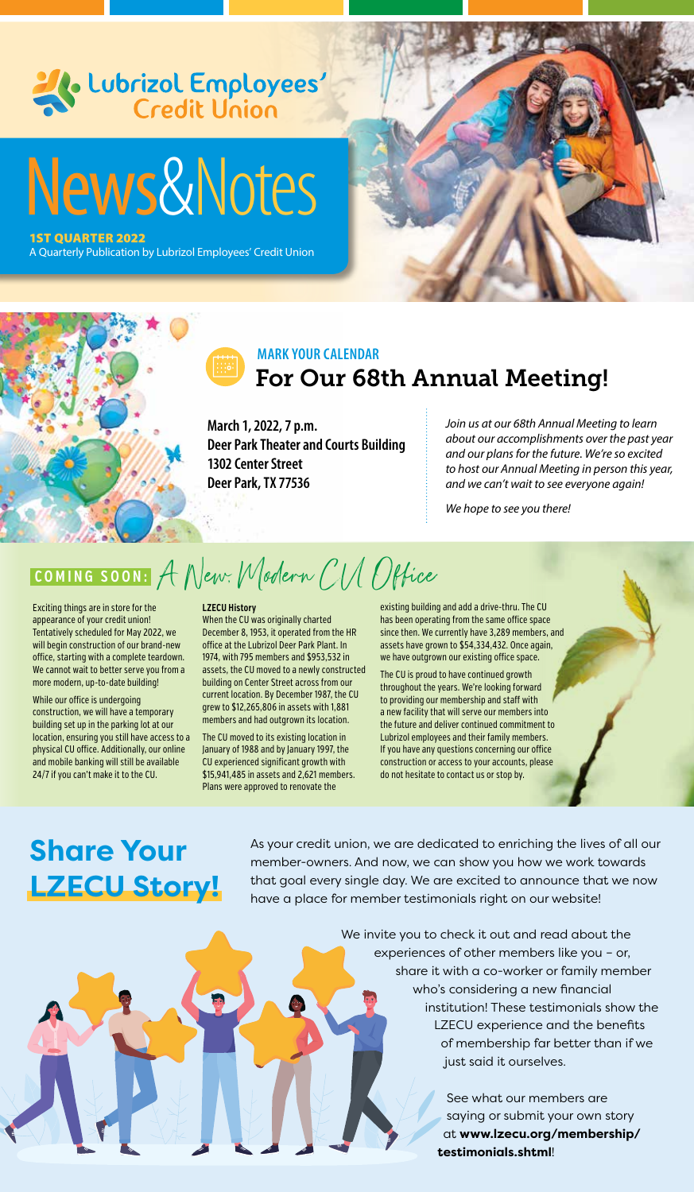

### For Our 68th Annual Meeting! **MARK YOUR CALENDAR**

**March 1, 2022, 7 p.m. Deer Park Theater and Courts Building 1302 Center Street Deer Park, TX 77536**

*Join us at our 68th Annual Meeting to learn about our accomplishments over the past year and our plans for the future. We're so excited to host our Annual Meeting in person this year, and we can't wait to see everyone again!*

*We hope to see you there!*

**COMING SOON:** A New: Modern CIA Office

Exciting things are in store for the appearance of your credit union! Tentatively scheduled for May 2022, we will begin construction of our brand-new office, starting with a complete teardown. We cannot wait to better serve you from a more modern, up-to-date building!

While our office is undergoing construction, we will have a temporary building set up in the parking lot at our location, ensuring you still have access to a physical CU office. Additionally, our online and mobile banking will still be available 24/7 if you can't make it to the CU.

#### **LZECU History**

When the CU was originally charted December 8, 1953, it operated from the HR office at the Lubrizol Deer Park Plant. In 1974, with 795 members and \$953,532 in assets, the CU moved to a newly constructed building on Center Street across from our current location. By December 1987, the CU grew to \$12,265,806 in assets with 1,881 members and had outgrown its location.

The CU moved to its existing location in January of 1988 and by January 1997, the CU experienced significant growth with \$15,941,485 in assets and 2,621 members. Plans were approved to renovate the

existing building and add a drive-thru. The CU has been operating from the same office space since then. We currently have 3,289 members, and assets have grown to \$54,334,432. Once again, we have outgrown our existing office space.

The CU is proud to have continued growth throughout the years. We're looking forward to providing our membership and staff with a new facility that will serve our members into the future and deliver continued commitment to Lubrizol employees and their family members. If you have any questions concerning our office construction or access to your accounts, please do not hesitate to contact us or stop by.

# **Share Your LZECU Story!**

As your credit union, we are dedicated to enriching the lives of all our member-owners. And now, we can show you how we work towards that goal every single day. We are excited to announce that we now have a place for member testimonials right on our website!

> We invite you to check it out and read about the experiences of other members like you – or, share it with a co-worker or family member who's considering a new financial institution! These testimonials show the LZECU experience and the benefits of membership far better than if we just said it ourselves.

> > See what our members are saying or submit your own story at **www.lzecu.org/membership/ testimonials.shtml**!